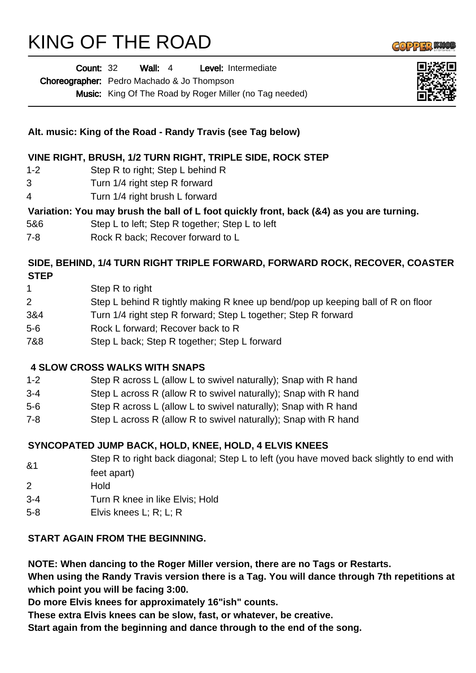## KING OF THE ROAD

|                | Wall: $4$<br>Level: Intermediate<br><b>Count: 32</b>                                                   |
|----------------|--------------------------------------------------------------------------------------------------------|
|                | Choreographer: Pedro Machado & Jo Thompson                                                             |
|                | Music: King Of The Road by Roger Miller (no Tag needed)                                                |
|                | Alt. music: King of the Road - Randy Travis (see Tag below)                                            |
|                | VINE RIGHT, BRUSH, 1/2 TURN RIGHT, TRIPLE SIDE, ROCK STEP                                              |
| $1 - 2$        | Step R to right; Step L behind R                                                                       |
| 3              | Turn 1/4 right step R forward                                                                          |
| 4              | Turn 1/4 right brush L forward                                                                         |
|                | Variation: You may brush the ball of L foot quickly front, back (&4) as you are turning.               |
| 5&6            | Step L to left; Step R together; Step L to left                                                        |
| 7-8            | Rock R back; Recover forward to L                                                                      |
| <b>STEP</b>    | SIDE, BEHIND, 1/4 TURN RIGHT TRIPLE FORWARD, FORWARD ROCK, RECOVER, COASTER                            |
| 1              | Step R to right                                                                                        |
| $\overline{c}$ | Step L behind R tightly making R knee up bend/pop up keeping ball of R on floor                        |
| 3&4            | Turn 1/4 right step R forward; Step L together; Step R forward                                         |
| 5-6            | Rock L forward; Recover back to R                                                                      |
| 7&8            | Step L back; Step R together; Step L forward                                                           |
|                | <b>4 SLOW CROSS WALKS WITH SNAPS</b>                                                                   |
| $1 - 2$        | Step R across L (allow L to swivel naturally); Snap with R hand                                        |
| $3-4$          | Step L across R (allow R to swivel naturally); Snap with R hand                                        |
| 5-6            | Step R across L (allow L to swivel naturally); Snap with R hand                                        |
| 7-8            | Step L across R (allow R to swivel naturally); Snap with R hand                                        |
|                | SYNCOPATED JUMP BACK, HOLD, KNEE, HOLD, 4 ELVIS KNEES                                                  |
| &1             | Step R to right back diagonal; Step L to left (you have moved back slightly to end with<br>feet apart) |
| 2              | Hold                                                                                                   |
| $3 - 4$        | Turn R knee in like Elvis; Hold                                                                        |
| $5 - 8$        | Elvis knees L; R; L; R                                                                                 |
|                | START AGAIN FROM THE BEGINNING.                                                                        |

**NOTE: When dancing to the Roger Miller version, there are no Tags or Restarts.** 

**When using the Randy Travis version there is a Tag. You will dance through 7th repetitions at which point you will be facing 3:00.** 

**Do more Elvis knees for approximately 16"ish" counts.** 

&1

**These extra Elvis knees can be slow, fast, or whatever, be creative.** 

**Start again from the beginning and dance through to the end of the song.**





Wall: 4 | **Avel:** Intermediate